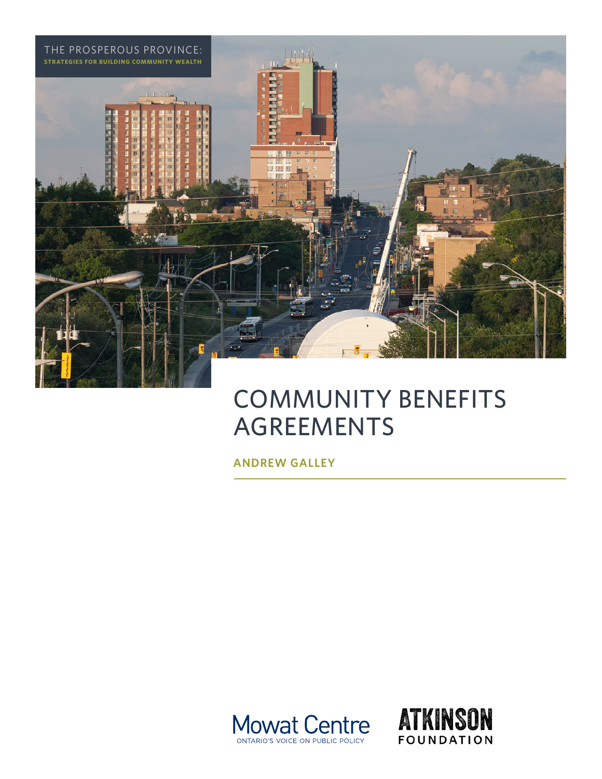

# COMMUNITY BENEFITS AGREEMENTS

**ANDREW GALLEY**



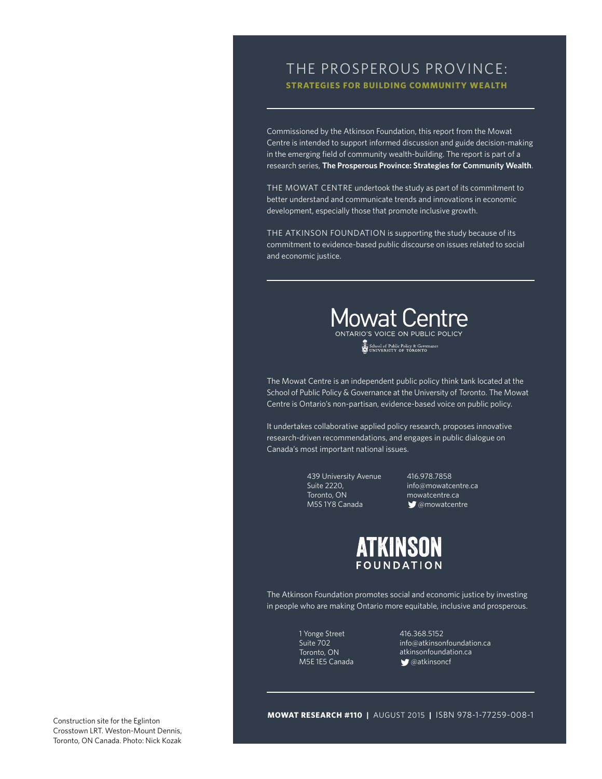### THE PROSPEROUS PROVINCE: **STRATEGIES FOR BUILDING COMMUNITY WEALTH**

Commissioned by the Atkinson Foundation, this report from the Mowat Centre is intended to support informed discussion and guide decision-making in the emerging field of community wealth-building. The report is part of a research series, **The Prosperous Province: Strategies for Community Wealth**.

THE MOWAT CENTRE undertook the study as part of its commitment to better understand and communicate trends and innovations in economic development, especially those that promote inclusive growth.

THE ATKINSON FOUNDATION is supporting the study because of its commitment to evidence-based public discourse on issues related to social and economic justice.



School of Public Policy & Governance

The Mowat Centre is an independent public policy think tank located at the School of Public Policy & Governance at the University of Toronto. The Mowat Centre is Ontario's non-partisan, evidence-based voice on public policy.

It undertakes collaborative applied policy research, proposes innovative research-driven recommendations, and engages in public dialogue on Canada's most important national issues.

> 439 University Avenue Suite 2220, Toronto, ON M5S 1Y8 Canada

416.978.7858 [info@mowatcentre.ca](mailto:info@mowatcentre.ca) [mowatcentre.ca](http://mowatcentre.ca) **@mowatcentre** 



The Atkinson Foundation promotes social and economic justice by investing in people who are making Ontario more equitable, inclusive and prosperous.

> 1 Yonge Street Suite 702 Toronto, ON M5E 1E5 Canada

416.368.5152 [info@atkinsonfoundation.ca](mailto:info@atkinsonfoundation.ca) [atkinsonfoundation.ca](http://atkinsonfoundation.ca) **g**@atkinsoncf

**MOWAT RESEARCH #110 |** AUGUST 2015 **|** ISBN 978-1-77259-008-1

Construction site for the Eglinton Crosstown LRT. Weston-Mount Dennis, Toronto, ON Canada. Photo: Nick Kozak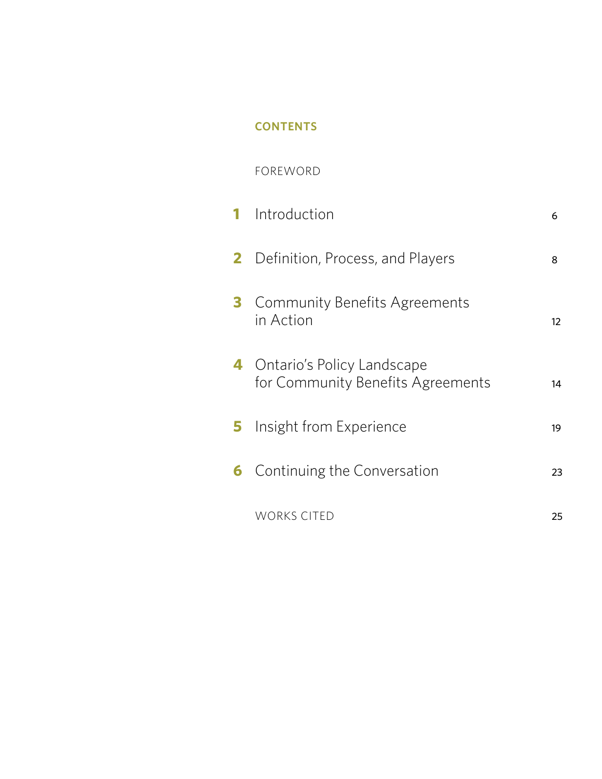## **CONTENTS**

### FOREWORD

|              | <b>1</b> Introduction                                             | 6  |
|--------------|-------------------------------------------------------------------|----|
| $\mathbf{2}$ | Definition, Process, and Players                                  | 8  |
|              | <b>Community Benefits Agreements</b><br>in Action                 | 12 |
|              | 4 Ontario's Policy Landscape<br>for Community Benefits Agreements | 14 |
| 5.           | Insight from Experience                                           | 19 |
| 6            | Continuing the Conversation                                       | 23 |
|              | <b>WORKS CITED</b>                                                | 25 |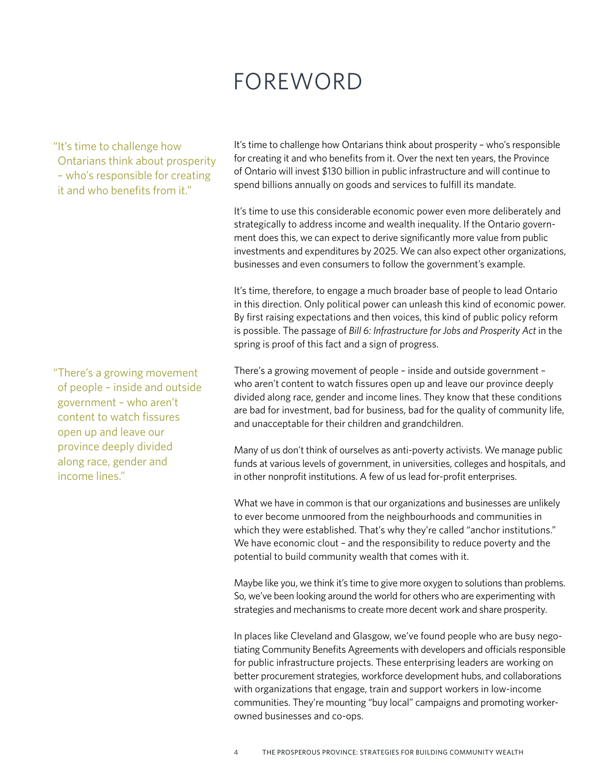## FOREWORD

"It's time to challenge how Ontarians think about prosperity – who's responsible for creating it and who benefits from it."

It's time to challenge how Ontarians think about prosperity – who's responsible for creating it and who benefits from it. Over the next ten years, the Province of Ontario will invest \$130 billion in public infrastructure and will continue to spend billions annually on goods and services to fulfill its mandate.

It's time to use this considerable economic power even more deliberately and strategically to address income and wealth inequality. If the Ontario government does this, we can expect to derive significantly more value from public investments and expenditures by 2025. We can also expect other organizations, businesses and even consumers to follow the government's example.

It's time, therefore, to engage a much broader base of people to lead Ontario in this direction. Only political power can unleash this kind of economic power. By first raising expectations and then voices, this kind of public policy reform is possible. The passage of *Bill 6: Infrastructure for Jobs and Prosperity Act* in the spring is proof of this fact and a sign of progress.

There's a growing movement of people – inside and outside government – who aren't content to watch fissures open up and leave our province deeply divided along race, gender and income lines. They know that these conditions are bad for investment, bad for business, bad for the quality of community life, and unacceptable for their children and grandchildren.

Many of us don't think of ourselves as anti-poverty activists. We manage public funds at various levels of government, in universities, colleges and hospitals, and in other nonprofit institutions. A few of us lead for-profit enterprises.

What we have in common is that our organizations and businesses are unlikely to ever become unmoored from the neighbourhoods and communities in which they were established. That's why they're called "anchor institutions." We have economic clout – and the responsibility to reduce poverty and the potential to build community wealth that comes with it.

Maybe like you, we think it's time to give more oxygen to solutions than problems. So, we've been looking around the world for others who are experimenting with strategies and mechanisms to create more decent work and share prosperity.

In places like Cleveland and Glasgow, we've found people who are busy negotiating Community Benefits Agreements with developers and officials responsible for public infrastructure projects. These enterprising leaders are working on better procurement strategies, workforce development hubs, and collaborations with organizations that engage, train and support workers in low-income communities. They're mounting "buy local" campaigns and promoting workerowned businesses and co-ops.

"There's a growing movement of people – inside and outside government – who aren't content to watch fissures open up and leave our province deeply divided along race, gender and income lines."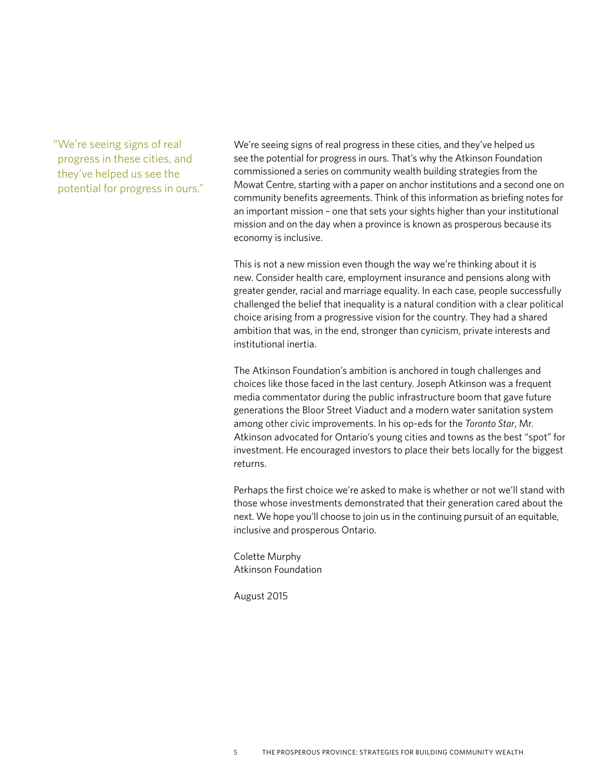"We're seeing signs of real progress in these cities, and they've helped us see the potential for progress in ours." We're seeing signs of real progress in these cities, and they've helped us see the potential for progress in ours. That's why the Atkinson Foundation commissioned a series on community wealth building strategies from the Mowat Centre, starting with a paper on anchor institutions and a second one on community benefits agreements. Think of this information as briefing notes for an important mission – one that sets your sights higher than your institutional mission and on the day when a province is known as prosperous because its economy is inclusive.

This is not a new mission even though the way we're thinking about it is new. Consider health care, employment insurance and pensions along with greater gender, racial and marriage equality. In each case, people successfully challenged the belief that inequality is a natural condition with a clear political choice arising from a progressive vision for the country. They had a shared ambition that was, in the end, stronger than cynicism, private interests and institutional inertia.

The Atkinson Foundation's ambition is anchored in tough challenges and choices like those faced in the last century. Joseph Atkinson was a frequent media commentator during the public infrastructure boom that gave future generations the Bloor Street Viaduct and a modern water sanitation system among other civic improvements. In his op-eds for the *Toronto Star*, Mr. Atkinson advocated for Ontario's young cities and towns as the best "spot" for investment. He encouraged investors to place their bets locally for the biggest returns.

Perhaps the first choice we're asked to make is whether or not we'll stand with those whose investments demonstrated that their generation cared about the next. We hope you'll choose to join us in the continuing pursuit of an equitable, inclusive and prosperous Ontario.

Colette Murphy Atkinson Foundation

August 2015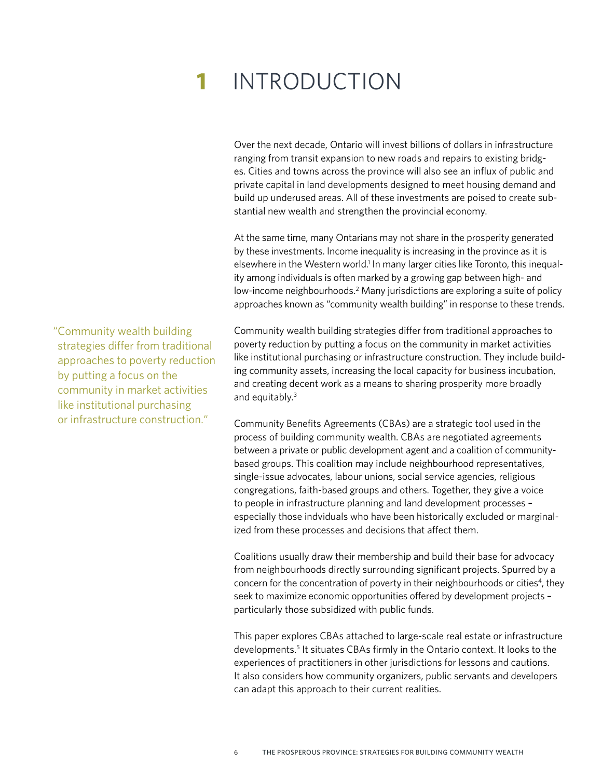# **1** INTRODUCTION

Over the next decade, Ontario will invest billions of dollars in infrastructure ranging from transit expansion to new roads and repairs to existing bridges. Cities and towns across the province will also see an influx of public and private capital in land developments designed to meet housing demand and build up underused areas. All of these investments are poised to create substantial new wealth and strengthen the provincial economy.

At the same time, many Ontarians may not share in the prosperity generated by these investments. Income inequality is increasing in the province as it is elsewhere in the Western world.<sup>1</sup> In many larger cities like Toronto, this inequality among individuals is often marked by a growing gap between high- and low-income neighbourhoods.<sup>2</sup> Many jurisdictions are exploring a suite of policy approaches known as "community wealth building" in response to these trends.

Community wealth building strategies differ from traditional approaches to poverty reduction by putting a focus on the community in market activities like institutional purchasing or infrastructure construction. They include building community assets, increasing the local capacity for business incubation, and creating decent work as a means to sharing prosperity more broadly and equitably.3

Community Benefits Agreements (CBAs) are a strategic tool used in the process of building community wealth. CBAs are negotiated agreements between a private or public development agent and a coalition of communitybased groups. This coalition may include neighbourhood representatives, single-issue advocates, labour unions, social service agencies, religious congregations, faith-based groups and others. Together, they give a voice to people in infrastructure planning and land development processes – especially those indviduals who have been historically excluded or marginalized from these processes and decisions that affect them.

Coalitions usually draw their membership and build their base for advocacy from neighbourhoods directly surrounding significant projects. Spurred by a concern for the concentration of poverty in their neighbourhoods or cities<sup>4</sup>, they seek to maximize economic opportunities offered by development projects – particularly those subsidized with public funds.

This paper explores CBAs attached to large-scale real estate or infrastructure developments.<sup>5</sup> It situates CBAs firmly in the Ontario context. It looks to the experiences of practitioners in other jurisdictions for lessons and cautions. It also considers how community organizers, public servants and developers can adapt this approach to their current realities.

"Community wealth building strategies differ from traditional approaches to poverty reduction by putting a focus on the community in market activities like institutional purchasing or infrastructure construction."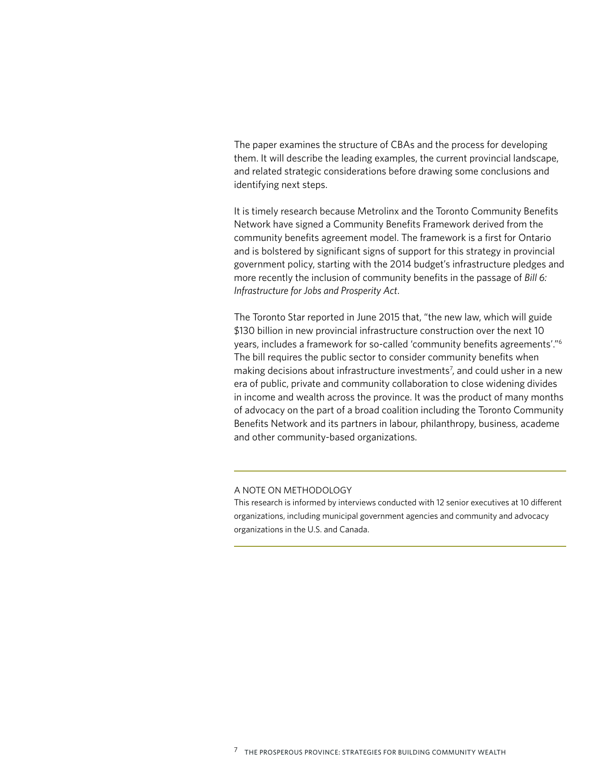The paper examines the structure of CBAs and the process for developing them. It will describe the leading examples, the current provincial landscape, and related strategic considerations before drawing some conclusions and identifying next steps.

It is timely research because Metrolinx and the Toronto Community Benefits Network have signed a Community Benefits Framework derived from the community benefits agreement model. The framework is a first for Ontario and is bolstered by significant signs of support for this strategy in provincial government policy, starting with the 2014 budget's infrastructure pledges and more recently the inclusion of community benefits in the passage of *Bill 6: Infrastructure for Jobs and Prosperity Act*.

The Toronto Star reported in June 2015 that, "the new law, which will guide \$130 billion in new provincial infrastructure construction over the next 10 years, includes a framework for so-called 'community benefits agreements'."6 The bill requires the public sector to consider community benefits when making decisions about infrastructure investments<sup>7</sup>, and could usher in a new era of public, private and community collaboration to close widening divides in income and wealth across the province. It was the product of many months of advocacy on the part of a broad coalition including the Toronto Community Benefits Network and its partners in labour, philanthropy, business, academe and other community-based organizations.

#### A NOTE ON METHODOLOGY

This research is informed by interviews conducted with 12 senior executives at 10 different organizations, including municipal government agencies and community and advocacy organizations in the U.S. and Canada.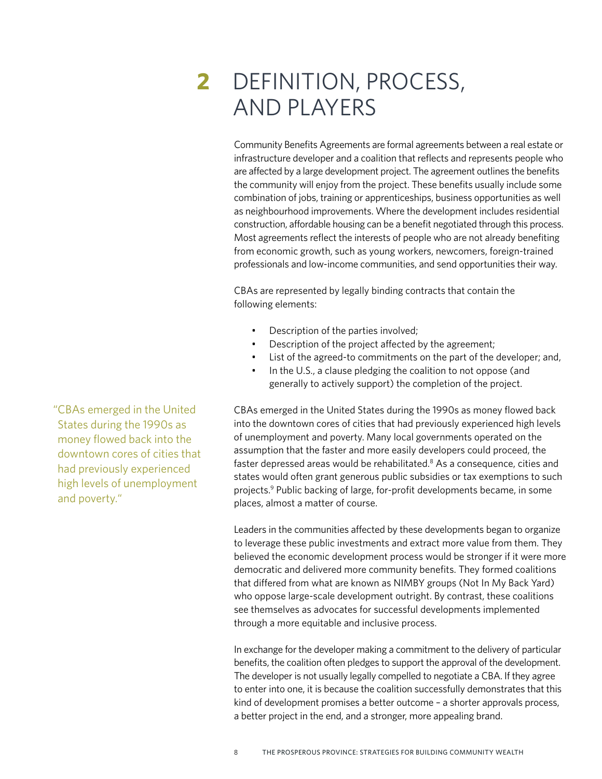# **2** DEFINITION, PROCESS, AND PLAYERS

Community Benefits Agreements are formal agreements between a real estate or infrastructure developer and a coalition that reflects and represents people who are affected by a large development project. The agreement outlines the benefits the community will enjoy from the project. These benefits usually include some combination of jobs, training or apprenticeships, business opportunities as well as neighbourhood improvements. Where the development includes residential construction, affordable housing can be a benefit negotiated through this process. Most agreements reflect the interests of people who are not already benefiting from economic growth, such as young workers, newcomers, foreign-trained professionals and low-income communities, and send opportunities their way.

CBAs are represented by legally binding contracts that contain the following elements:

- Description of the parties involved;
- Description of the project affected by the agreement;
- List of the agreed-to commitments on the part of the developer; and,
- In the U.S., a clause pledging the coalition to not oppose (and generally to actively support) the completion of the project.

CBAs emerged in the United States during the 1990s as money flowed back into the downtown cores of cities that had previously experienced high levels of unemployment and poverty. Many local governments operated on the assumption that the faster and more easily developers could proceed, the faster depressed areas would be rehabilitated.<sup>8</sup> As a consequence, cities and states would often grant generous public subsidies or tax exemptions to such projects.9 Public backing of large, for-profit developments became, in some places, almost a matter of course.

Leaders in the communities affected by these developments began to organize to leverage these public investments and extract more value from them. They believed the economic development process would be stronger if it were more democratic and delivered more community benefits. They formed coalitions that differed from what are known as NIMBY groups (Not In My Back Yard) who oppose large-scale development outright. By contrast, these coalitions see themselves as advocates for successful developments implemented through a more equitable and inclusive process.

In exchange for the developer making a commitment to the delivery of particular benefits, the coalition often pledges to support the approval of the development. The developer is not usually legally compelled to negotiate a CBA. If they agree to enter into one, it is because the coalition successfully demonstrates that this kind of development promises a better outcome – a shorter approvals process, a better project in the end, and a stronger, more appealing brand.

"CBAs emerged in the United States during the 1990s as money flowed back into the downtown cores of cities that had previously experienced high levels of unemployment and poverty."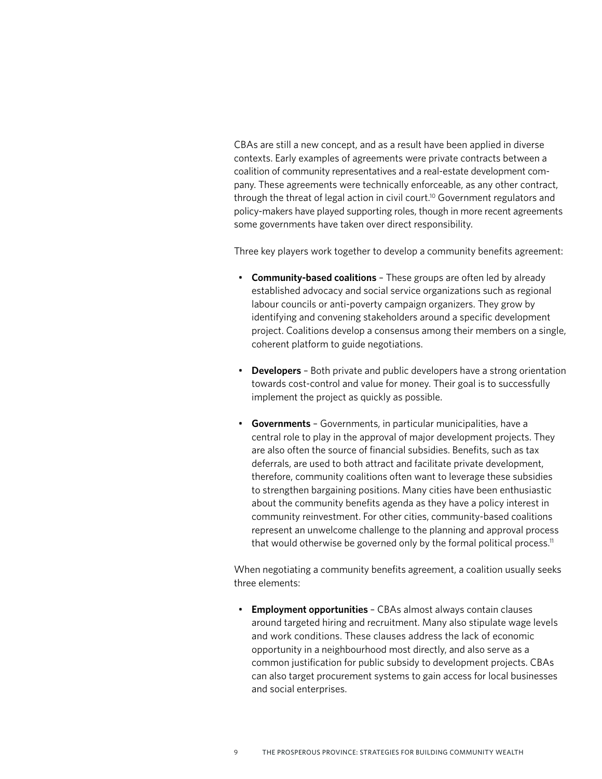CBAs are still a new concept, and as a result have been applied in diverse contexts. Early examples of agreements were private contracts between a coalition of community representatives and a real-estate development company. These agreements were technically enforceable, as any other contract, through the threat of legal action in civil court.<sup>10</sup> Government regulators and policy-makers have played supporting roles, though in more recent agreements some governments have taken over direct responsibility.

Three key players work together to develop a community benefits agreement:

- **Community-based coalitions** These groups are often led by already established advocacy and social service organizations such as regional labour councils or anti-poverty campaign organizers. They grow by identifying and convening stakeholders around a specific development project. Coalitions develop a consensus among their members on a single, coherent platform to guide negotiations.
- **Developers** Both private and public developers have a strong orientation towards cost-control and value for money. Their goal is to successfully implement the project as quickly as possible.
- **Governments** Governments, in particular municipalities, have a central role to play in the approval of major development projects. They are also often the source of financial subsidies. Benefits, such as tax deferrals, are used to both attract and facilitate private development, therefore, community coalitions often want to leverage these subsidies to strengthen bargaining positions. Many cities have been enthusiastic about the community benefits agenda as they have a policy interest in community reinvestment. For other cities, community-based coalitions represent an unwelcome challenge to the planning and approval process that would otherwise be governed only by the formal political process.<sup>11</sup>

When negotiating a community benefits agreement, a coalition usually seeks three elements:

• **Employment opportunities** – CBAs almost always contain clauses around targeted hiring and recruitment. Many also stipulate wage levels and work conditions. These clauses address the lack of economic opportunity in a neighbourhood most directly, and also serve as a common justification for public subsidy to development projects. CBAs can also target procurement systems to gain access for local businesses and social enterprises.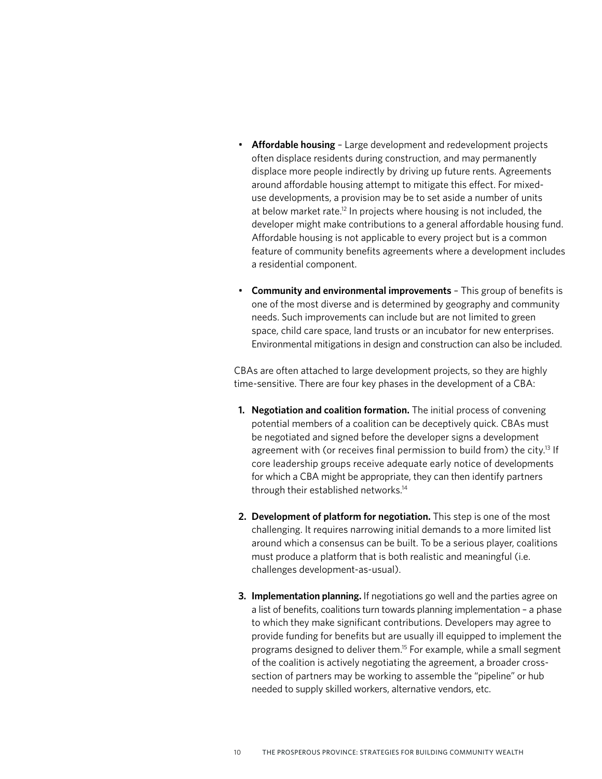- **Affordable housing** Large development and redevelopment projects often displace residents during construction, and may permanently displace more people indirectly by driving up future rents. Agreements around affordable housing attempt to mitigate this effect. For mixeduse developments, a provision may be to set aside a number of units at below market rate.<sup>12</sup> In projects where housing is not included, the developer might make contributions to a general affordable housing fund. Affordable housing is not applicable to every project but is a common feature of community benefits agreements where a development includes a residential component.
- **Community and environmental improvements** This group of benefits is one of the most diverse and is determined by geography and community needs. Such improvements can include but are not limited to green space, child care space, land trusts or an incubator for new enterprises. Environmental mitigations in design and construction can also be included.

CBAs are often attached to large development projects, so they are highly time-sensitive. There are four key phases in the development of a CBA:

- **1. Negotiation and coalition formation.** The initial process of convening potential members of a coalition can be deceptively quick. CBAs must be negotiated and signed before the developer signs a development agreement with (or receives final permission to build from) the city.<sup>13</sup> If core leadership groups receive adequate early notice of developments for which a CBA might be appropriate, they can then identify partners through their established networks.14
- **2. Development of platform for negotiation.** This step is one of the most challenging. It requires narrowing initial demands to a more limited list around which a consensus can be built. To be a serious player, coalitions must produce a platform that is both realistic and meaningful (i.e. challenges development-as-usual).
- **3. Implementation planning.** If negotiations go well and the parties agree on a list of benefits, coalitions turn towards planning implementation – a phase to which they make significant contributions. Developers may agree to provide funding for benefits but are usually ill equipped to implement the programs designed to deliver them.15 For example, while a small segment of the coalition is actively negotiating the agreement, a broader crosssection of partners may be working to assemble the "pipeline" or hub needed to supply skilled workers, alternative vendors, etc.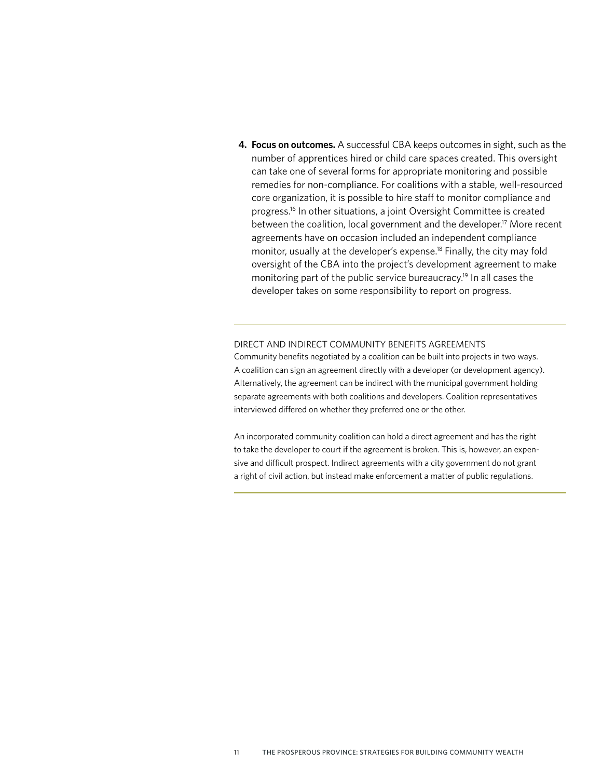**4. Focus on outcomes.** A successful CBA keeps outcomes in sight, such as the number of apprentices hired or child care spaces created. This oversight can take one of several forms for appropriate monitoring and possible remedies for non-compliance. For coalitions with a stable, well-resourced core organization, it is possible to hire staff to monitor compliance and progress.<sup>16</sup> In other situations, a joint Oversight Committee is created between the coalition, local government and the developer.<sup>17</sup> More recent agreements have on occasion included an independent compliance monitor, usually at the developer's expense.<sup>18</sup> Finally, the city may fold oversight of the CBA into the project's development agreement to make monitoring part of the public service bureaucracy.19 In all cases the developer takes on some responsibility to report on progress.

#### DIRECT AND INDIRECT COMMUNITY BENEFITS AGREEMENTS

Community benefits negotiated by a coalition can be built into projects in two ways. A coalition can sign an agreement directly with a developer (or development agency). Alternatively, the agreement can be indirect with the municipal government holding separate agreements with both coalitions and developers. Coalition representatives interviewed differed on whether they preferred one or the other.

An incorporated community coalition can hold a direct agreement and has the right to take the developer to court if the agreement is broken. This is, however, an expensive and difficult prospect. Indirect agreements with a city government do not grant a right of civil action, but instead make enforcement a matter of public regulations.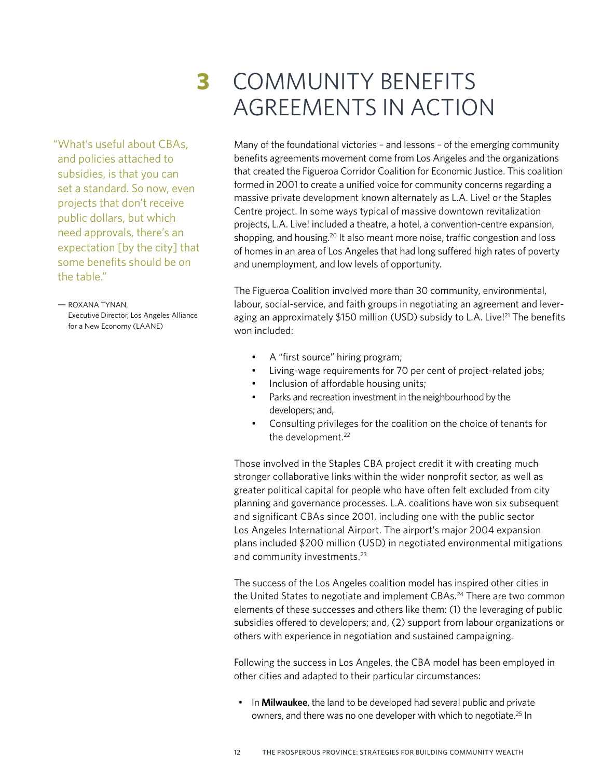"What's useful about CBAs, and policies attached to subsidies, is that you can set a standard. So now, even projects that don't receive public dollars, but which need approvals, there's an expectation [by the city] that some benefits should be on the table."

— ROXANA TYNAN, Executive Director, Los Angeles Alliance for a New Economy (LAANE)

# **3** COMMUNITY BENEFITS AGREEMENTS IN ACTION

Many of the foundational victories – and lessons – of the emerging community benefits agreements movement come from Los Angeles and the organizations that created the Figueroa Corridor Coalition for Economic Justice. This coalition formed in 2001 to create a unified voice for community concerns regarding a massive private development known alternately as L.A. Live! or the Staples Centre project. In some ways typical of massive downtown revitalization projects, L.A. Live! included a theatre, a hotel, a convention-centre expansion, shopping, and housing.<sup>20</sup> It also meant more noise, traffic congestion and loss of homes in an area of Los Angeles that had long suffered high rates of poverty and unemployment, and low levels of opportunity.

The Figueroa Coalition involved more than 30 community, environmental, labour, social-service, and faith groups in negotiating an agreement and leveraging an approximately \$150 million (USD) subsidy to L.A. Live!<sup>21</sup> The benefits won included:

- A "first source" hiring program;
- Living-wage requirements for 70 per cent of project-related jobs;
- Inclusion of affordable housing units;
- Parks and recreation investment in the neighbourhood by the developers; and,
- Consulting privileges for the coalition on the choice of tenants for the development.<sup>22</sup>

Those involved in the Staples CBA project credit it with creating much stronger collaborative links within the wider nonprofit sector, as well as greater political capital for people who have often felt excluded from city planning and governance processes. L.A. coalitions have won six subsequent and significant CBAs since 2001, including one with the public sector Los Angeles International Airport. The airport's major 2004 expansion plans included \$200 million (USD) in negotiated environmental mitigations and community investments.<sup>23</sup>

The success of the Los Angeles coalition model has inspired other cities in the United States to negotiate and implement CBAs.<sup>24</sup> There are two common elements of these successes and others like them: (1) the leveraging of public subsidies offered to developers; and, (2) support from labour organizations or others with experience in negotiation and sustained campaigning.

Following the success in Los Angeles, the CBA model has been employed in other cities and adapted to their particular circumstances:

• In **Milwaukee**, the land to be developed had several public and private owners, and there was no one developer with which to negotiate.25 In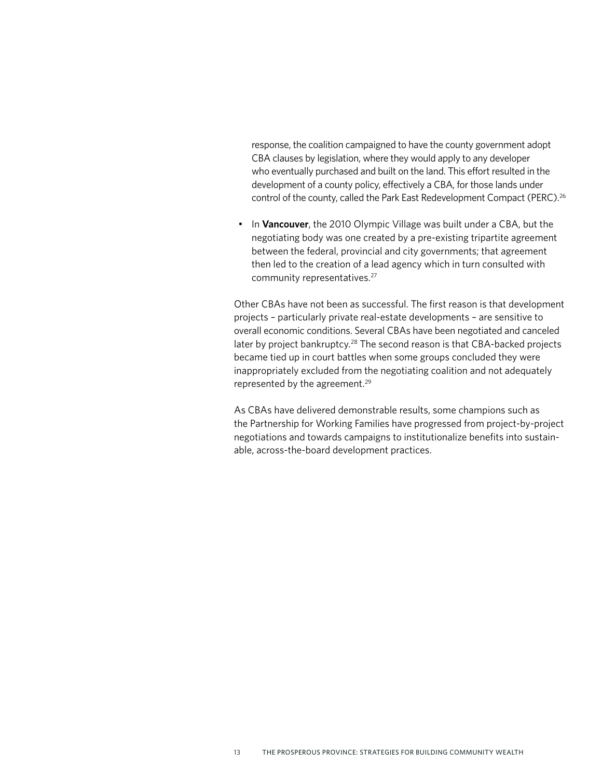response, the coalition campaigned to have the county government adopt CBA clauses by legislation, where they would apply to any developer who eventually purchased and built on the land. This effort resulted in the development of a county policy, effectively a CBA, for those lands under control of the county, called the Park East Redevelopment Compact (PERC).<sup>26</sup>

• In **Vancouver**, the 2010 Olympic Village was built under a CBA, but the negotiating body was one created by a pre-existing tripartite agreement between the federal, provincial and city governments; that agreement then led to the creation of a lead agency which in turn consulted with community representatives.27

Other CBAs have not been as successful. The first reason is that development projects – particularly private real-estate developments – are sensitive to overall economic conditions. Several CBAs have been negotiated and canceled later by project bankruptcy.<sup>28</sup> The second reason is that CBA-backed projects became tied up in court battles when some groups concluded they were inappropriately excluded from the negotiating coalition and not adequately represented by the agreement.<sup>29</sup>

As CBAs have delivered demonstrable results, some champions such as the Partnership for Working Families have progressed from project-by-project negotiations and towards campaigns to institutionalize benefits into sustainable, across-the-board development practices.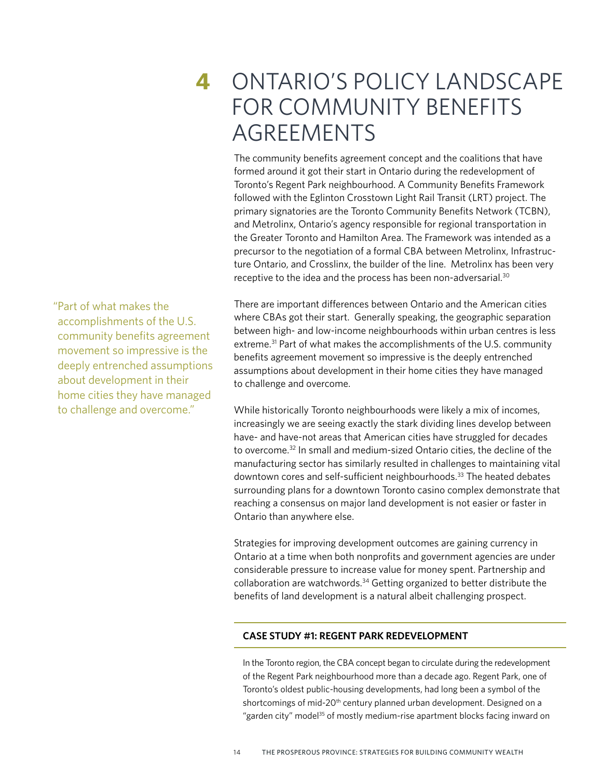## **4** ONTARIO'S POLICY LANDSCAPE FOR COMMUNITY BENEFITS AGREEMENTS

The community benefits agreement concept and the coalitions that have formed around it got their start in Ontario during the redevelopment of Toronto's Regent Park neighbourhood. A Community Benefits Framework followed with the Eglinton Crosstown Light Rail Transit (LRT) project. The primary signatories are the Toronto Community Benefits Network (TCBN), and Metrolinx, Ontario's agency responsible for regional transportation in the Greater Toronto and Hamilton Area. The Framework was intended as a precursor to the negotiation of a formal CBA between Metrolinx, Infrastructure Ontario, and Crosslinx, the builder of the line. Metrolinx has been very receptive to the idea and the process has been non-adversarial.<sup>30</sup>

There are important differences between Ontario and the American cities where CBAs got their start. Generally speaking, the geographic separation between high- and low-income neighbourhoods within urban centres is less extreme.<sup>31</sup> Part of what makes the accomplishments of the U.S. community benefits agreement movement so impressive is the deeply entrenched assumptions about development in their home cities they have managed to challenge and overcome.

While historically Toronto neighbourhoods were likely a mix of incomes, increasingly we are seeing exactly the stark dividing lines develop between have- and have-not areas that American cities have struggled for decades to overcome.32 In small and medium-sized Ontario cities, the decline of the manufacturing sector has similarly resulted in challenges to maintaining vital downtown cores and self-sufficient neighbourhoods.33 The heated debates surrounding plans for a downtown Toronto casino complex demonstrate that reaching a consensus on major land development is not easier or faster in Ontario than anywhere else.

Strategies for improving development outcomes are gaining currency in Ontario at a time when both nonprofits and government agencies are under considerable pressure to increase value for money spent. Partnership and collaboration are watchwords.<sup>34</sup> Getting organized to better distribute the benefits of land development is a natural albeit challenging prospect.

### **CASE STUDY #1: REGENT PARK REDEVELOPMENT**

In the Toronto region, the CBA concept began to circulate during the redevelopment of the Regent Park neighbourhood more than a decade ago. Regent Park, one of Toronto's oldest public-housing developments, had long been a symbol of the shortcomings of mid-20<sup>th</sup> century planned urban development. Designed on a "garden city" model<sup>35</sup> of mostly medium-rise apartment blocks facing inward on

"Part of what makes the accomplishments of the U.S. community benefits agreement movement so impressive is the deeply entrenched assumptions about development in their home cities they have managed to challenge and overcome."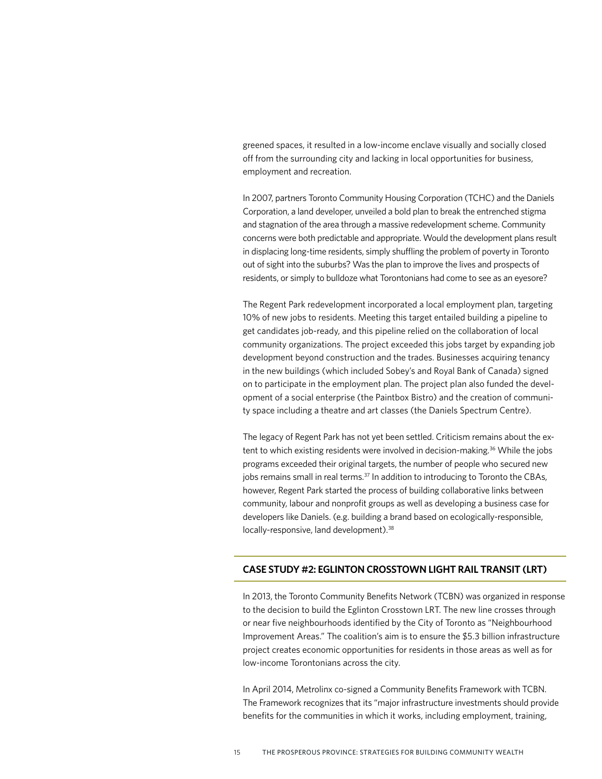greened spaces, it resulted in a low-income enclave visually and socially closed off from the surrounding city and lacking in local opportunities for business, employment and recreation.

In 2007, partners Toronto Community Housing Corporation (TCHC) and the Daniels Corporation, a land developer, unveiled a bold plan to break the entrenched stigma and stagnation of the area through a massive redevelopment scheme. Community concerns were both predictable and appropriate. Would the development plans result in displacing long-time residents, simply shuffling the problem of poverty in Toronto out of sight into the suburbs? Was the plan to improve the lives and prospects of residents, or simply to bulldoze what Torontonians had come to see as an eyesore?

The Regent Park redevelopment incorporated a local employment plan, targeting 10% of new jobs to residents. Meeting this target entailed building a pipeline to get candidates job-ready, and this pipeline relied on the collaboration of local community organizations. The project exceeded this jobs target by expanding job development beyond construction and the trades. Businesses acquiring tenancy in the new buildings (which included Sobey's and Royal Bank of Canada) signed on to participate in the employment plan. The project plan also funded the development of a social enterprise (the Paintbox Bistro) and the creation of community space including a theatre and art classes (the Daniels Spectrum Centre).

The legacy of Regent Park has not yet been settled. Criticism remains about the extent to which existing residents were involved in decision-making.<sup>36</sup> While the jobs programs exceeded their original targets, the number of people who secured new jobs remains small in real terms.<sup>37</sup> In addition to introducing to Toronto the CBAs, however, Regent Park started the process of building collaborative links between community, labour and nonprofit groups as well as developing a business case for developers like Daniels. (e.g. building a brand based on ecologically-responsible, locally-responsive, land development).<sup>38</sup>

#### **CASE STUDY #2: EGLINTON CROSSTOWN LIGHT RAIL TRANSIT (LRT)**

In 2013, the Toronto Community Benefits Network (TCBN) was organized in response to the decision to build the Eglinton Crosstown LRT. The new line crosses through or near five neighbourhoods identified by the City of Toronto as "Neighbourhood Improvement Areas." The coalition's aim is to ensure the \$5.3 billion infrastructure project creates economic opportunities for residents in those areas as well as for low-income Torontonians across the city.

In April 2014, Metrolinx co-signed a Community Benefits Framework with TCBN. The Framework recognizes that its "major infrastructure investments should provide benefits for the communities in which it works, including employment, training,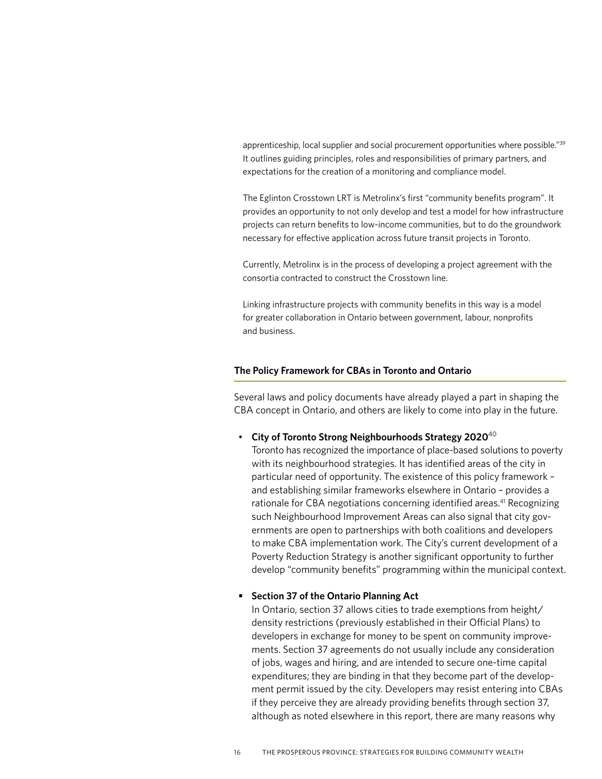apprenticeship, local supplier and social procurement opportunities where possible."39 It outlines guiding principles, roles and responsibilities of primary partners, and expectations for the creation of a monitoring and compliance model.

The Eglinton Crosstown LRT is Metrolinx's first "community benefits program". It provides an opportunity to not only develop and test a model for how infrastructure projects can return benefits to low-income communities, but to do the groundwork necessary for effective application across future transit projects in Toronto.

Currently, Metrolinx is in the process of developing a project agreement with the consortia contracted to construct the Crosstown line.

Linking infrastructure projects with community benefits in this way is a model for greater collaboration in Ontario between government, labour, nonprofits and business.

#### **The Policy Framework for CBAs in Toronto and Ontario**

Several laws and policy documents have already played a part in shaping the CBA concept in Ontario, and others are likely to come into play in the future.

• **City of Toronto Strong Neighbourhoods Strategy 2020**<sup>40</sup>

Toronto has recognized the importance of place-based solutions to poverty with its neighbourhood strategies. It has identified areas of the city in particular need of opportunity. The existence of this policy framework – and establishing similar frameworks elsewhere in Ontario – provides a rationale for CBA negotiations concerning identified areas.<sup>41</sup> Recognizing such Neighbourhood Improvement Areas can also signal that city governments are open to partnerships with both coalitions and developers to make CBA implementation work. The City's current development of a Poverty Reduction Strategy is another significant opportunity to further develop "community benefits" programming within the municipal context.

#### **• Section 37 of the Ontario Planning Act**

In Ontario, section 37 allows cities to trade exemptions from height/ density restrictions (previously established in their Official Plans) to developers in exchange for money to be spent on community improvements. Section 37 agreements do not usually include any consideration of jobs, wages and hiring, and are intended to secure one-time capital expenditures; they are binding in that they become part of the development permit issued by the city. Developers may resist entering into CBAs if they perceive they are already providing benefits through section 37, although as noted elsewhere in this report, there are many reasons why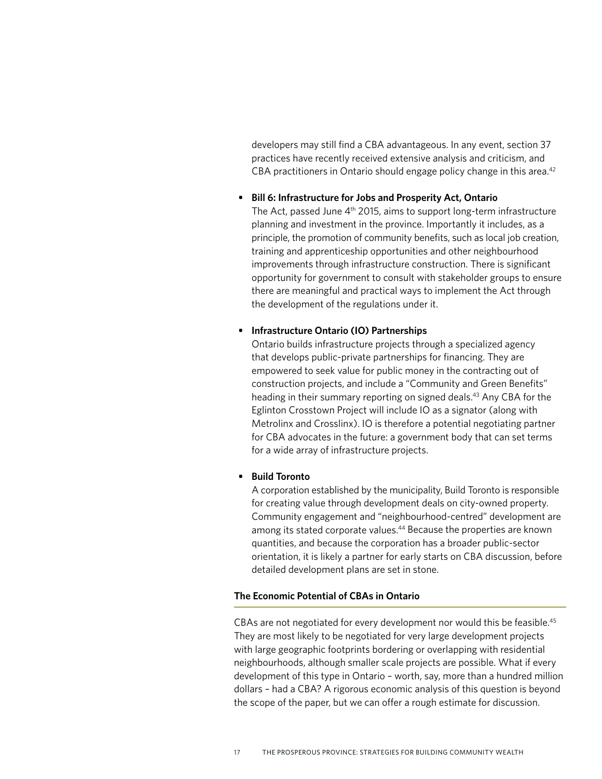developers may still find a CBA advantageous. In any event, section 37 practices have recently received extensive analysis and criticism, and CBA practitioners in Ontario should engage policy change in this area.<sup>42</sup>

#### **• Bill 6: Infrastructure for Jobs and Prosperity Act, Ontario**

The Act, passed June 4<sup>th</sup> 2015, aims to support long-term infrastructure planning and investment in the province. Importantly it includes, as a principle, the promotion of community benefits, such as local job creation, training and apprenticeship opportunities and other neighbourhood improvements through infrastructure construction. There is significant opportunity for government to consult with stakeholder groups to ensure there are meaningful and practical ways to implement the Act through the development of the regulations under it.

#### **• Infrastructure Ontario (IO) Partnerships**

Ontario builds infrastructure projects through a specialized agency that develops public-private partnerships for financing. They are empowered to seek value for public money in the contracting out of construction projects, and include a "Community and Green Benefits" heading in their summary reporting on signed deals.<sup>43</sup> Any CBA for the Eglinton Crosstown Project will include IO as a signator (along with Metrolinx and Crosslinx). IO is therefore a potential negotiating partner for CBA advocates in the future: a government body that can set terms for a wide array of infrastructure projects.

#### **• Build Toronto**

A corporation established by the municipality, Build Toronto is responsible for creating value through development deals on city-owned property. Community engagement and "neighbourhood-centred" development are among its stated corporate values.<sup>44</sup> Because the properties are known quantities, and because the corporation has a broader public-sector orientation, it is likely a partner for early starts on CBA discussion, before detailed development plans are set in stone.

#### **The Economic Potential of CBAs in Ontario**

CBAs are not negotiated for every development nor would this be feasible.<sup>45</sup> They are most likely to be negotiated for very large development projects with large geographic footprints bordering or overlapping with residential neighbourhoods, although smaller scale projects are possible. What if every development of this type in Ontario – worth, say, more than a hundred million dollars – had a CBA? A rigorous economic analysis of this question is beyond the scope of the paper, but we can offer a rough estimate for discussion.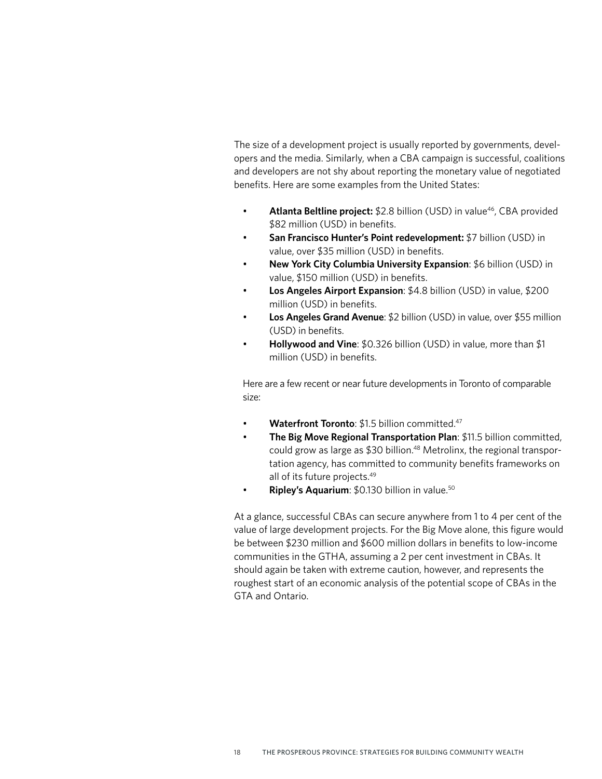The size of a development project is usually reported by governments, developers and the media. Similarly, when a CBA campaign is successful, coalitions and developers are not shy about reporting the monetary value of negotiated benefits. Here are some examples from the United States:

- **Atlanta Beltline project:** \$2.8 billion (USD) in value<sup>46</sup>, CBA provided \$82 million (USD) in benefits.
- **San Francisco Hunter's Point redevelopment:** \$7 billion (USD) in value, over \$35 million (USD) in benefits.
- **New York City Columbia University Expansion**: \$6 billion (USD) in value, \$150 million (USD) in benefits.
- **Los Angeles Airport Expansion**: \$4.8 billion (USD) in value, \$200 million (USD) in benefits.
- **Los Angeles Grand Avenue**: \$2 billion (USD) in value, over \$55 million (USD) in benefits.
- **Hollywood and Vine**: \$0.326 billion (USD) in value, more than \$1 million (USD) in benefits.

Here are a few recent or near future developments in Toronto of comparable size:

- **Waterfront Toronto: \$1.5 billion committed.47**
- **The Big Move Regional Transportation Plan**: \$11.5 billion committed, could grow as large as \$30 billion.48 Metrolinx, the regional transportation agency, has committed to community benefits frameworks on all of its future projects.49
- **Ripley's Aquarium**: \$0.130 billion in value.<sup>50</sup>

At a glance, successful CBAs can secure anywhere from 1 to 4 per cent of the value of large development projects. For the Big Move alone, this figure would be between \$230 million and \$600 million dollars in benefits to low-income communities in the GTHA, assuming a 2 per cent investment in CBAs. It should again be taken with extreme caution, however, and represents the roughest start of an economic analysis of the potential scope of CBAs in the GTA and Ontario.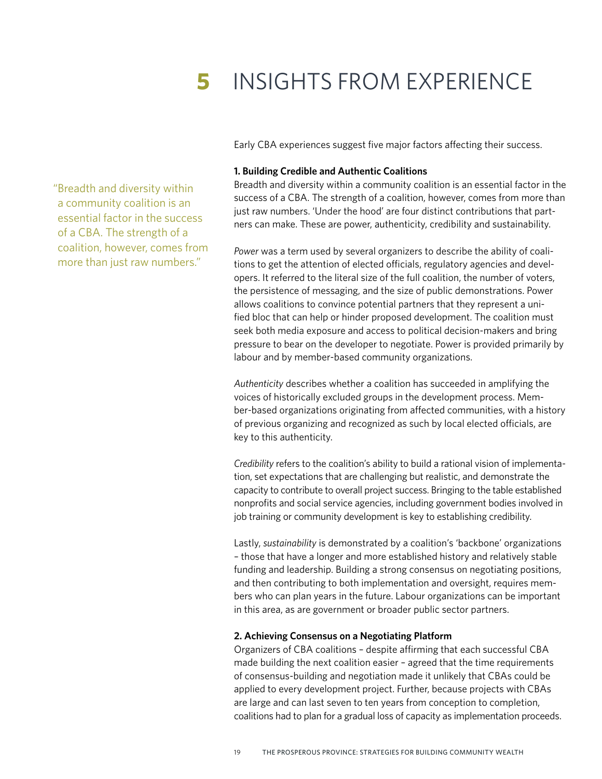# **5** INSIGHTS FROM EXPERIENCE

Early CBA experiences suggest five major factors affecting their success.

#### **1. Building Credible and Authentic Coalitions**

Breadth and diversity within a community coalition is an essential factor in the success of a CBA. The strength of a coalition, however, comes from more than just raw numbers. 'Under the hood' are four distinct contributions that partners can make. These are power, authenticity, credibility and sustainability.

*Power* was a term used by several organizers to describe the ability of coalitions to get the attention of elected officials, regulatory agencies and developers. It referred to the literal size of the full coalition, the number of voters, the persistence of messaging, and the size of public demonstrations. Power allows coalitions to convince potential partners that they represent a unified bloc that can help or hinder proposed development. The coalition must seek both media exposure and access to political decision-makers and bring pressure to bear on the developer to negotiate. Power is provided primarily by labour and by member-based community organizations.

*Authenticity* describes whether a coalition has succeeded in amplifying the voices of historically excluded groups in the development process. Member-based organizations originating from affected communities, with a history of previous organizing and recognized as such by local elected officials, are key to this authenticity.

*Credibility* refers to the coalition's ability to build a rational vision of implementation, set expectations that are challenging but realistic, and demonstrate the capacity to contribute to overall project success. Bringing to the table established nonprofits and social service agencies, including government bodies involved in job training or community development is key to establishing credibility.

Lastly, *sustainability* is demonstrated by a coalition's 'backbone' organizations – those that have a longer and more established history and relatively stable funding and leadership. Building a strong consensus on negotiating positions, and then contributing to both implementation and oversight, requires members who can plan years in the future. Labour organizations can be important in this area, as are government or broader public sector partners.

#### **2. Achieving Consensus on a Negotiating Platform**

Organizers of CBA coalitions – despite affirming that each successful CBA made building the next coalition easier – agreed that the time requirements of consensus-building and negotiation made it unlikely that CBAs could be applied to every development project. Further, because projects with CBAs are large and can last seven to ten years from conception to completion, coalitions had to plan for a gradual loss of capacity as implementation proceeds.

"Breadth and diversity within a community coalition is an essential factor in the success of a CBA. The strength of a coalition, however, comes from more than just raw numbers."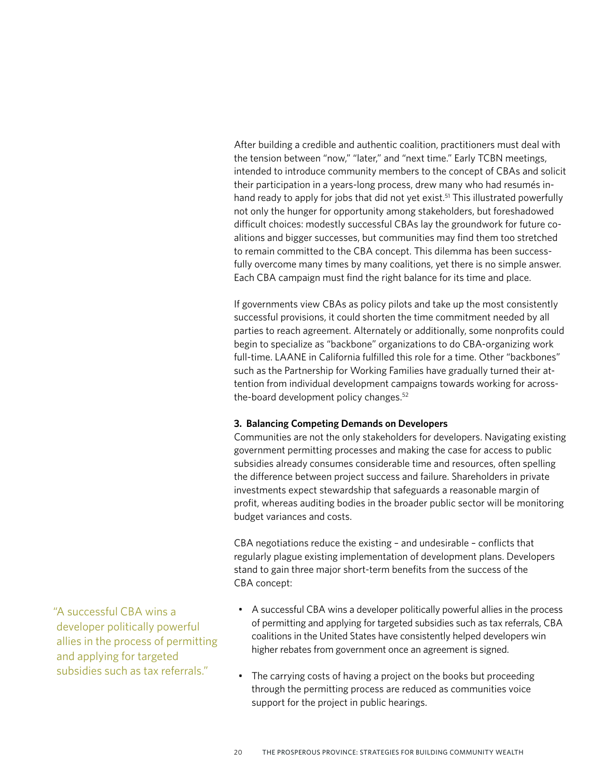After building a credible and authentic coalition, practitioners must deal with the tension between "now," "later," and "next time." Early TCBN meetings, intended to introduce community members to the concept of CBAs and solicit their participation in a years-long process, drew many who had resumés inhand ready to apply for jobs that did not yet exist.<sup>51</sup> This illustrated powerfully not only the hunger for opportunity among stakeholders, but foreshadowed difficult choices: modestly successful CBAs lay the groundwork for future coalitions and bigger successes, but communities may find them too stretched to remain committed to the CBA concept. This dilemma has been successfully overcome many times by many coalitions, yet there is no simple answer. Each CBA campaign must find the right balance for its time and place.

If governments view CBAs as policy pilots and take up the most consistently successful provisions, it could shorten the time commitment needed by all parties to reach agreement. Alternately or additionally, some nonprofits could begin to specialize as "backbone" organizations to do CBA-organizing work full-time. LAANE in California fulfilled this role for a time. Other "backbones" such as the Partnership for Working Families have gradually turned their attention from individual development campaigns towards working for acrossthe-board development policy changes.52

#### **3. Balancing Competing Demands on Developers**

Communities are not the only stakeholders for developers. Navigating existing government permitting processes and making the case for access to public subsidies already consumes considerable time and resources, often spelling the difference between project success and failure. Shareholders in private investments expect stewardship that safeguards a reasonable margin of profit, whereas auditing bodies in the broader public sector will be monitoring budget variances and costs.

CBA negotiations reduce the existing – and undesirable – conflicts that regularly plague existing implementation of development plans. Developers stand to gain three major short-term benefits from the success of the CBA concept:

- A successful CBA wins a developer politically powerful allies in the process of permitting and applying for targeted subsidies such as tax referrals, CBA coalitions in the United States have consistently helped developers win higher rebates from government once an agreement is signed.
- The carrying costs of having a project on the books but proceeding through the permitting process are reduced as communities voice support for the project in public hearings.

"A successful CBA wins a developer politically powerful allies in the process of permitting and applying for targeted subsidies such as tax referrals."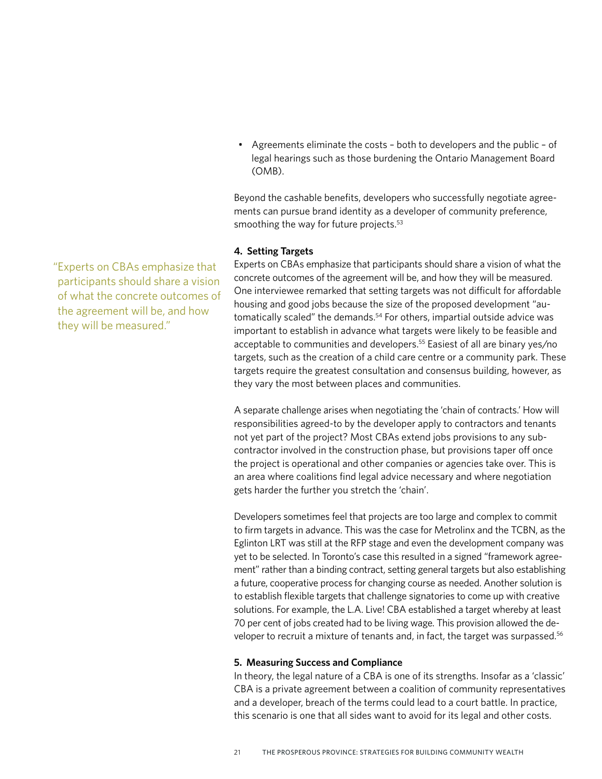• Agreements eliminate the costs – both to developers and the public – of legal hearings such as those burdening the Ontario Management Board (OMB).

Beyond the cashable benefits, developers who successfully negotiate agreements can pursue brand identity as a developer of community preference, smoothing the way for future projects.<sup>53</sup>

#### **4. Setting Targets**

Experts on CBAs emphasize that participants should share a vision of what the concrete outcomes of the agreement will be, and how they will be measured. One interviewee remarked that setting targets was not difficult for affordable housing and good jobs because the size of the proposed development "automatically scaled" the demands.<sup>54</sup> For others, impartial outside advice was important to establish in advance what targets were likely to be feasible and acceptable to communities and developers.<sup>55</sup> Easiest of all are binary yes/no targets, such as the creation of a child care centre or a community park. These targets require the greatest consultation and consensus building, however, as they vary the most between places and communities.

A separate challenge arises when negotiating the 'chain of contracts.' How will responsibilities agreed-to by the developer apply to contractors and tenants not yet part of the project? Most CBAs extend jobs provisions to any subcontractor involved in the construction phase, but provisions taper off once the project is operational and other companies or agencies take over. This is an area where coalitions find legal advice necessary and where negotiation gets harder the further you stretch the 'chain'.

Developers sometimes feel that projects are too large and complex to commit to firm targets in advance. This was the case for Metrolinx and the TCBN, as the Eglinton LRT was still at the RFP stage and even the development company was yet to be selected. In Toronto's case this resulted in a signed "framework agreement" rather than a binding contract, setting general targets but also establishing a future, cooperative process for changing course as needed. Another solution is to establish flexible targets that challenge signatories to come up with creative solutions. For example, the L.A. Live! CBA established a target whereby at least 70 per cent of jobs created had to be living wage. This provision allowed the developer to recruit a mixture of tenants and, in fact, the target was surpassed.56

#### **5. Measuring Success and Compliance**

In theory, the legal nature of a CBA is one of its strengths. Insofar as a 'classic' CBA is a private agreement between a coalition of community representatives and a developer, breach of the terms could lead to a court battle. In practice, this scenario is one that all sides want to avoid for its legal and other costs.

"Experts on CBAs emphasize that participants should share a vision of what the concrete outcomes of the agreement will be, and how they will be measured."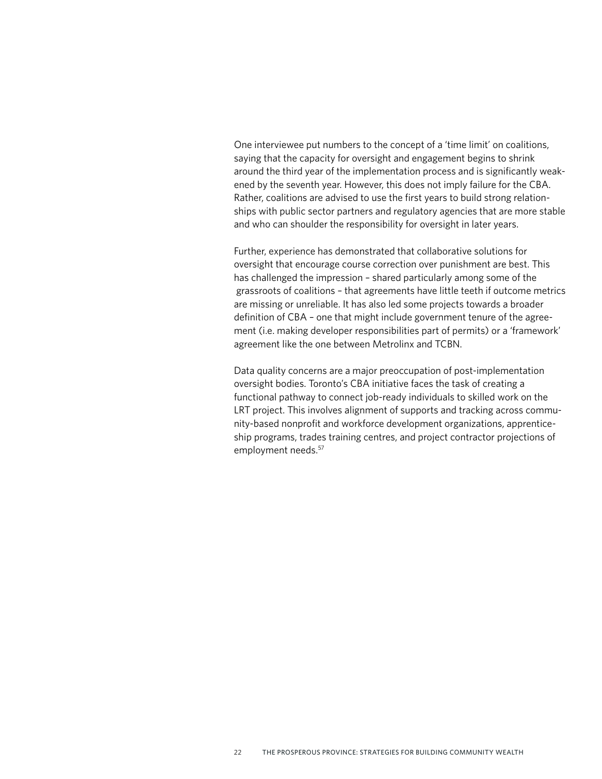One interviewee put numbers to the concept of a 'time limit' on coalitions, saying that the capacity for oversight and engagement begins to shrink around the third year of the implementation process and is significantly weakened by the seventh year. However, this does not imply failure for the CBA. Rather, coalitions are advised to use the first years to build strong relationships with public sector partners and regulatory agencies that are more stable and who can shoulder the responsibility for oversight in later years.

Further, experience has demonstrated that collaborative solutions for oversight that encourage course correction over punishment are best. This has challenged the impression – shared particularly among some of the grassroots of coalitions – that agreements have little teeth if outcome metrics are missing or unreliable. It has also led some projects towards a broader definition of CBA – one that might include government tenure of the agreement (i.e. making developer responsibilities part of permits) or a 'framework' agreement like the one between Metrolinx and TCBN.

Data quality concerns are a major preoccupation of post-implementation oversight bodies. Toronto's CBA initiative faces the task of creating a functional pathway to connect job-ready individuals to skilled work on the LRT project. This involves alignment of supports and tracking across community-based nonprofit and workforce development organizations, apprenticeship programs, trades training centres, and project contractor projections of employment needs.<sup>57</sup>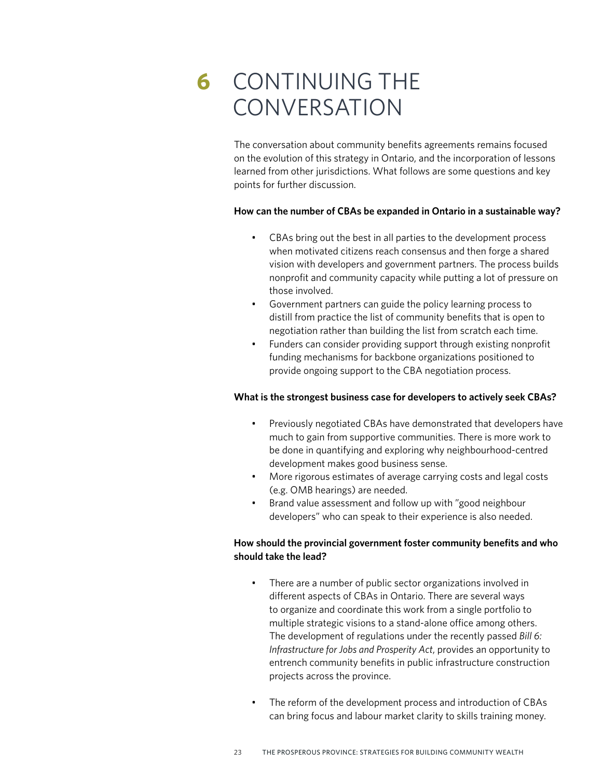# **6** CONTINUING THE **CONVERSATION**

The conversation about community benefits agreements remains focused on the evolution of this strategy in Ontario, and the incorporation of lessons learned from other jurisdictions. What follows are some questions and key points for further discussion.

### **How can the number of CBAs be expanded in Ontario in a sustainable way?**

- CBAs bring out the best in all parties to the development process when motivated citizens reach consensus and then forge a shared vision with developers and government partners. The process builds nonprofit and community capacity while putting a lot of pressure on those involved.
- Government partners can guide the policy learning process to distill from practice the list of community benefits that is open to negotiation rather than building the list from scratch each time.
- Funders can consider providing support through existing nonprofit funding mechanisms for backbone organizations positioned to provide ongoing support to the CBA negotiation process.

### **What is the strongest business case for developers to actively seek CBAs?**

- Previously negotiated CBAs have demonstrated that developers have much to gain from supportive communities. There is more work to be done in quantifying and exploring why neighbourhood-centred development makes good business sense.
- More rigorous estimates of average carrying costs and legal costs (e.g. OMB hearings) are needed.
- Brand value assessment and follow up with "good neighbour developers" who can speak to their experience is also needed.

### **How should the provincial government foster community benefits and who should take the lead?**

- There are a number of public sector organizations involved in different aspects of CBAs in Ontario. There are several ways to organize and coordinate this work from a single portfolio to multiple strategic visions to a stand-alone office among others. The development of regulations under the recently passed *Bill 6: Infrastructure for Jobs and Prosperity Act*, provides an opportunity to entrench community benefits in public infrastructure construction projects across the province.
- The reform of the development process and introduction of CBAs can bring focus and labour market clarity to skills training money.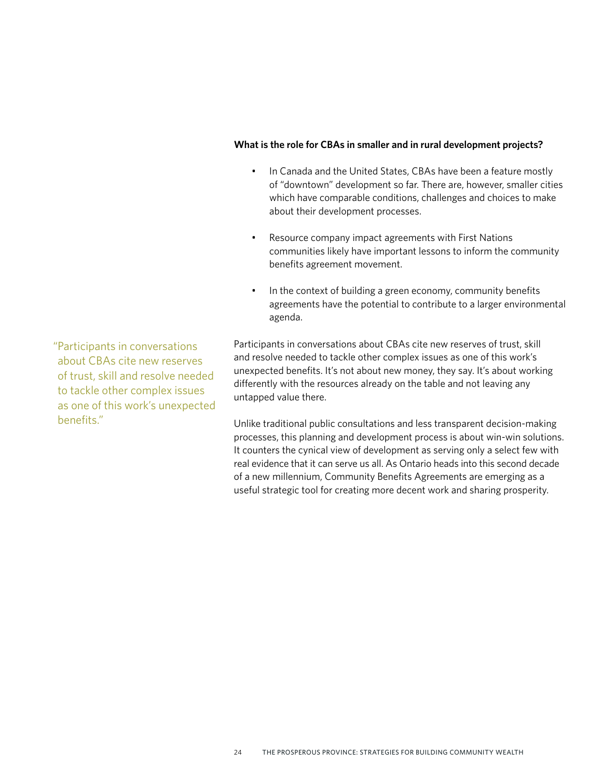### **What is the role for CBAs in smaller and in rural development projects?**

- In Canada and the United States, CBAs have been a feature mostly of "downtown" development so far. There are, however, smaller cities which have comparable conditions, challenges and choices to make about their development processes.
- Resource company impact agreements with First Nations communities likely have important lessons to inform the community benefits agreement movement.
- In the context of building a green economy, community benefits agreements have the potential to contribute to a larger environmental agenda.

Participants in conversations about CBAs cite new reserves of trust, skill and resolve needed to tackle other complex issues as one of this work's unexpected benefits. It's not about new money, they say. It's about working differently with the resources already on the table and not leaving any untapped value there.

Unlike traditional public consultations and less transparent decision-making processes, this planning and development process is about win-win solutions. It counters the cynical view of development as serving only a select few with real evidence that it can serve us all. As Ontario heads into this second decade of a new millennium, Community Benefits Agreements are emerging as a useful strategic tool for creating more decent work and sharing prosperity.

"Participants in conversations about CBAs cite new reserves of trust, skill and resolve needed to tackle other complex issues as one of this work's unexpected benefits."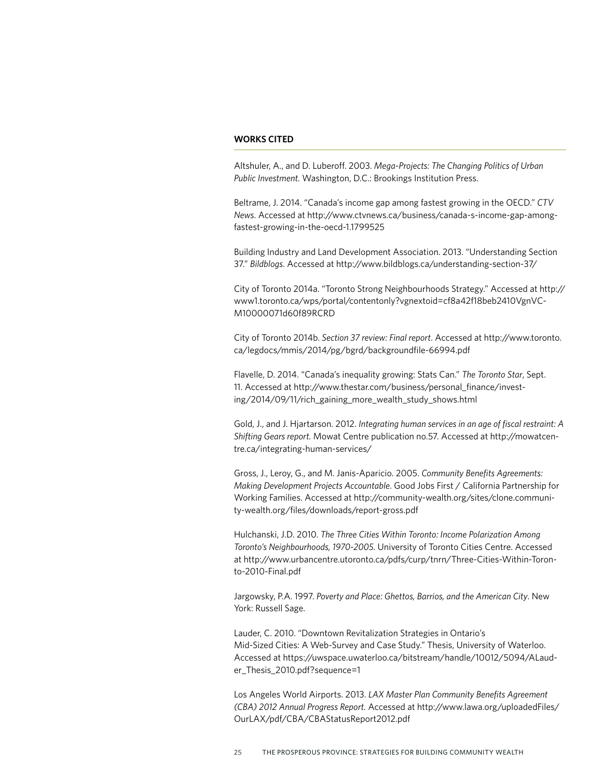#### **WORKS CITED**

Altshuler, A., and D. Luberoff. 2003. *Mega-Projects: The Changing Politics of Urban Public Investment.* Washington, D.C.: Brookings Institution Press.

Beltrame, J. 2014. "Canada's income gap among fastest growing in the OECD." *CTV News*. Accessed at [http://www.ctvnews.ca/business/canada-s-income-gap-among](http://www.ctvnews.ca/business/canada-s-income-gap-among-fastest-growing-in-the-oecd-1.1799525)[fastest-growing-in-the-oecd-1.1799525](http://www.ctvnews.ca/business/canada-s-income-gap-among-fastest-growing-in-the-oecd-1.1799525)

Building Industry and Land Development Association. 2013. "Understanding Section 37." *Bildblogs*. Accessed at<http://www.bildblogs.ca/understanding-section-37/>

City of Toronto 2014a. "Toronto Strong Neighbourhoods Strategy." Accessed at [http://](http://www1.toronto.ca/wps/portal/contentonly?vgnextoid=cf8a42f18beb2410VgnVCM10000071d60f89RCRD) [www1.toronto.ca/wps/portal/contentonly?vgnextoid=cf8a42f18beb2410VgnVC-](http://www1.toronto.ca/wps/portal/contentonly?vgnextoid=cf8a42f18beb2410VgnVCM10000071d60f89RCRD)[M10000071d60f89RCRD](http://www1.toronto.ca/wps/portal/contentonly?vgnextoid=cf8a42f18beb2410VgnVCM10000071d60f89RCRD)

City of Toronto 2014b. *Section 37 review: Final report*. Accessed at [http://www.toronto.](http://www.toronto.ca/legdocs/mmis/2014/pg/bgrd/backgroundfile-66994.pdf) [ca/legdocs/mmis/2014/pg/bgrd/backgroundfile-66994.pdf](http://www.toronto.ca/legdocs/mmis/2014/pg/bgrd/backgroundfile-66994.pdf)

Flavelle, D. 2014. "Canada's inequality growing: Stats Can." *The Toronto Star*, Sept. 11. Accessed at [http://www.thestar.com/business/personal\\_finance/invest](http://www.thestar.com/business/personal_finance/investing/2014/09/11/rich_gaining_more_wealth_study_shows.html)[ing/2014/09/11/rich\\_gaining\\_more\\_wealth\\_study\\_shows.html](http://www.thestar.com/business/personal_finance/investing/2014/09/11/rich_gaining_more_wealth_study_shows.html)

Gold, J., and J. Hjartarson. 2012. *Integrating human services in an age of fiscal restraint: A Shifting Gears report.* Mowat Centre publication no.57. Accessed at [http://mowatcen](http://mowatcentre.ca/integrating-human-services/)[tre.ca/integrating-human-services/](http://mowatcentre.ca/integrating-human-services/)

Gross, J., Leroy, G., and M. Janis-Aparicio. 2005. *Community Benefits Agreements: Making Development Projects Accountable*. Good Jobs First / California Partnership for Working Families. Accessed at [http://community-wealth.org/sites/clone.communi](http://community-wealth.org/sites/clone.community-wealth.org/files/downloads/report-gross.pdf)[ty-wealth.org/files/downloads/report-gross.pdf](http://community-wealth.org/sites/clone.community-wealth.org/files/downloads/report-gross.pdf)

Hulchanski, J.D. 2010. *The Three Cities Within Toronto: Income Polarization Among Toronto's Neighbourhoods, 1970-2005.* University of Toronto Cities Centre. Accessed at [http://www.urbancentre.utoronto.ca/pdfs/curp/tnrn/Three-Cities-Within-Toron](http://www.urbancentre.utoronto.ca/pdfs/curp/tnrn/Three-Cities-Within-Toronto-2010-Final.pdf)[to-2010-Final.pdf](http://www.urbancentre.utoronto.ca/pdfs/curp/tnrn/Three-Cities-Within-Toronto-2010-Final.pdf)

Jargowsky, P.A. 1997. *Poverty and Place: Ghettos, Barrios, and the American City*. New York: Russell Sage.

Lauder, C. 2010. "Downtown Revitalization Strategies in Ontario's Mid-Sized Cities: A Web-Survey and Case Study." Thesis, University of Waterloo. Accessed at [https://uwspace.uwaterloo.ca/bitstream/handle/10012/5094/ALaud](https://uwspace.uwaterloo.ca/bitstream/handle/10012/5094/ALauder_Thesis_2010.pdf?sequence=1.)[er\\_Thesis\\_2010.pdf?sequence=1](https://uwspace.uwaterloo.ca/bitstream/handle/10012/5094/ALauder_Thesis_2010.pdf?sequence=1.)

Los Angeles World Airports. 2013. *LAX Master Plan Community Benefits Agreement (CBA) 2012 Annual Progress Report.* Accessed at [http://www.lawa.org/uploadedFiles/](http://www.lawa.org/uploadedFiles/OurLAX/pdf/CBA/CBAStatusReport2012.pdf) [OurLAX/pdf/CBA/CBAStatusReport2012.pdf](http://www.lawa.org/uploadedFiles/OurLAX/pdf/CBA/CBAStatusReport2012.pdf)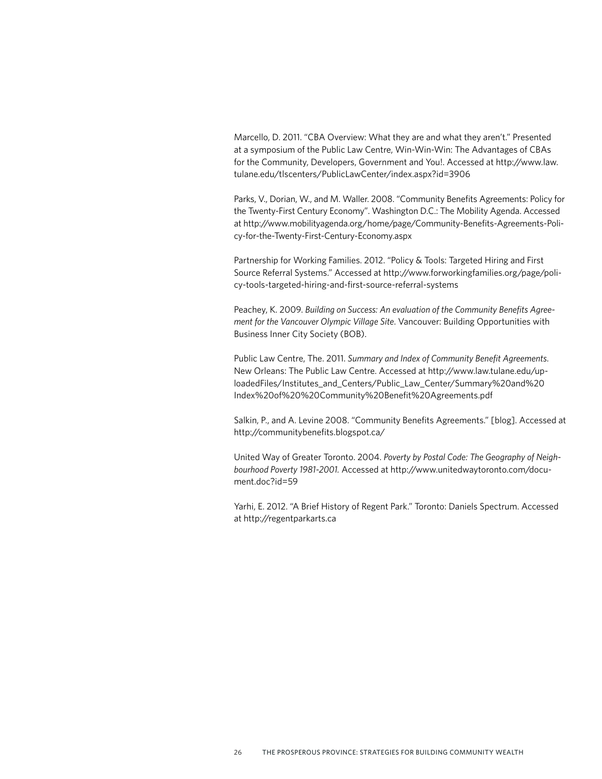Marcello, D. 2011. "CBA Overview: What they are and what they aren't." Presented at a symposium of the Public Law Centre, Win-Win-Win: The Advantages of CBAs for the Community, Developers, Government and You!. Accessed at [http://www.law.](http://www.law.tulane.edu/tlscenters/PublicLawCenter/index.aspx?id=3906) [tulane.edu/tlscenters/PublicLawCenter/index.aspx?id=3906](http://www.law.tulane.edu/tlscenters/PublicLawCenter/index.aspx?id=3906)

Parks, V., Dorian, W., and M. Waller. 2008. "Community Benefits Agreements: Policy for the Twenty-First Century Economy". Washington D.C.: The Mobility Agenda. Accessed at [http://www.mobilityagenda.org/home/page/Community-Benefits-Agreements-Poli](http://www.mobilityagenda.org/home/page/Community-Benefits-Agreements-Policy-for-the-Twenty-First-Century-Economy.aspx)[cy-for-the-Twenty-First-Century-Economy.aspx](http://www.mobilityagenda.org/home/page/Community-Benefits-Agreements-Policy-for-the-Twenty-First-Century-Economy.aspx)

Partnership for Working Families. 2012. "Policy & Tools: Targeted Hiring and First Source Referral Systems." Accessed at [http://www.forworkingfamilies.org/page/poli](http://www.forworkingfamilies.org/page/policy-tools-targeted-hiring-and-first-source-referral-systems)[cy-tools-targeted-hiring-and-first-source-referral-systems](http://www.forworkingfamilies.org/page/policy-tools-targeted-hiring-and-first-source-referral-systems)

Peachey, K. 2009. *Building on Success: An evaluation of the Community Benefits Agreement for the Vancouver Olympic Village Site*. Vancouver: Building Opportunities with Business Inner City Society (BOB).

Public Law Centre, The. 2011. *Summary and Index of Community Benefit Agreements*. New Orleans: The Public Law Centre. Accessed at [http://www.law.tulane.edu/up](http://www.law.tulane.edu/uploadedFiles/Institutes_and_Centers/Public_Law_Center/Summary%20and%20Index%20of%20%20Community%20Benefit%20Agreements.pdf)[loadedFiles/Institutes\\_and\\_Centers/Public\\_Law\\_Center/Summary%20and%20](http://www.law.tulane.edu/uploadedFiles/Institutes_and_Centers/Public_Law_Center/Summary%20and%20Index%20of%20%20Community%20Benefit%20Agreements.pdf) [Index%20of%20%20Community%20Benefit%20Agreements.pdf](http://www.law.tulane.edu/uploadedFiles/Institutes_and_Centers/Public_Law_Center/Summary%20and%20Index%20of%20%20Community%20Benefit%20Agreements.pdf)

Salkin, P., and A. Levine 2008. "Community Benefits Agreements." [blog]. Accessed at [http://communitybenefits.blogspot.ca/](http://communitybenefits.blogspot.ca)

United Way of Greater Toronto. 2004. *Poverty by Postal Code: The Geography of Neighbourhood Poverty 1981-2001.* Accessed at [http://www.unitedwaytoronto.com/docu](http://www.unitedwaytoronto.com/document.doc?id=59)[ment.doc?id=59](http://www.unitedwaytoronto.com/document.doc?id=59)

Yarhi, E. 2012. "A Brief History of Regent Park." Toronto: Daniels Spectrum. Accessed at <http://regentparkarts.ca>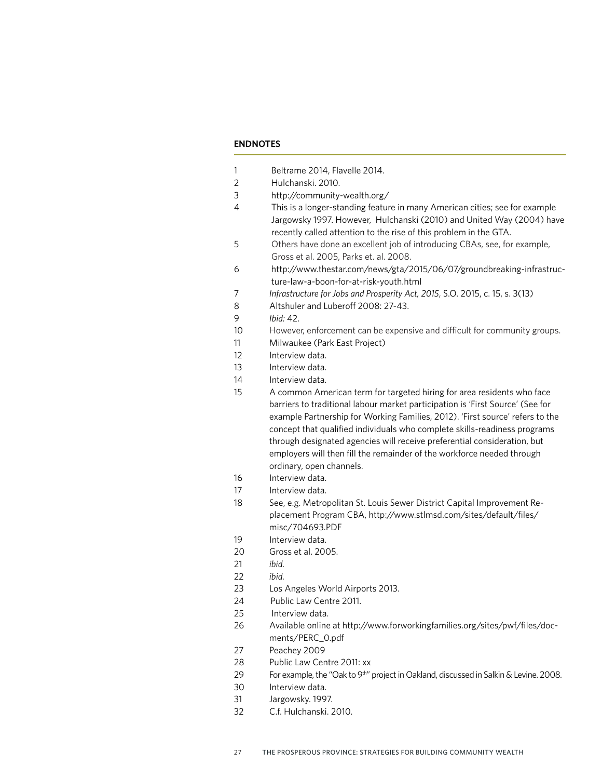### **ENDNOTES**

| 1  | Beltrame 2014, Flavelle 2014.                                                                                                                                                                                                                                                                                                                                                                                                  |
|----|--------------------------------------------------------------------------------------------------------------------------------------------------------------------------------------------------------------------------------------------------------------------------------------------------------------------------------------------------------------------------------------------------------------------------------|
| 2  | Hulchanski. 2010.                                                                                                                                                                                                                                                                                                                                                                                                              |
| 3  | http://community-wealth.org/                                                                                                                                                                                                                                                                                                                                                                                                   |
| 4  | This is a longer-standing feature in many American cities; see for example<br>Jargowsky 1997. However, Hulchanski (2010) and United Way (2004) have<br>recently called attention to the rise of this problem in the GTA.                                                                                                                                                                                                       |
| 5  | Others have done an excellent job of introducing CBAs, see, for example,<br>Gross et al. 2005, Parks et. al. 2008.                                                                                                                                                                                                                                                                                                             |
| 6  | http://www.thestar.com/news/gta/2015/06/07/groundbreaking-infrastruc-<br>ture-law-a-boon-for-at-risk-youth.html                                                                                                                                                                                                                                                                                                                |
| 7  | Infrastructure for Jobs and Prosperity Act, 2015, S.O. 2015, c. 15, s. 3(13)                                                                                                                                                                                                                                                                                                                                                   |
| 8  | Altshuler and Luberoff 2008: 27-43.                                                                                                                                                                                                                                                                                                                                                                                            |
| 9  | Ibid: 42.                                                                                                                                                                                                                                                                                                                                                                                                                      |
| 10 | However, enforcement can be expensive and difficult for community groups.                                                                                                                                                                                                                                                                                                                                                      |
| 11 | Milwaukee (Park East Project)                                                                                                                                                                                                                                                                                                                                                                                                  |
| 12 | Interview data.                                                                                                                                                                                                                                                                                                                                                                                                                |
| 13 | Interview data.                                                                                                                                                                                                                                                                                                                                                                                                                |
| 14 | Interview data.                                                                                                                                                                                                                                                                                                                                                                                                                |
| 15 | A common American term for targeted hiring for area residents who face                                                                                                                                                                                                                                                                                                                                                         |
|    | barriers to traditional labour market participation is 'First Source' (See for<br>example Partnership for Working Families, 2012). 'First source' refers to the<br>concept that qualified individuals who complete skills-readiness programs<br>through designated agencies will receive preferential consideration, but<br>employers will then fill the remainder of the workforce needed through<br>ordinary, open channels. |
| 16 | Interview data.                                                                                                                                                                                                                                                                                                                                                                                                                |
| 17 | Interview data.                                                                                                                                                                                                                                                                                                                                                                                                                |
| 18 | See, e.g. Metropolitan St. Louis Sewer District Capital Improvement Re-<br>placement Program CBA, http://www.stlmsd.com/sites/default/files/<br>misc/704693.PDF                                                                                                                                                                                                                                                                |
| 19 | Interview data.                                                                                                                                                                                                                                                                                                                                                                                                                |
| 20 | Gross et al. 2005.                                                                                                                                                                                                                                                                                                                                                                                                             |
| 21 | ibid.                                                                                                                                                                                                                                                                                                                                                                                                                          |
| 22 | ibid.                                                                                                                                                                                                                                                                                                                                                                                                                          |
| 23 | Los Angeles World Airports 2013.                                                                                                                                                                                                                                                                                                                                                                                               |
| 24 | Public Law Centre 2011.                                                                                                                                                                                                                                                                                                                                                                                                        |
| 25 | Interview data.                                                                                                                                                                                                                                                                                                                                                                                                                |
| 26 | Available online at http://www.forworkingfamilies.org/sites/pwf/files/doc-<br>ments/PERC_0.pdf                                                                                                                                                                                                                                                                                                                                 |
| 27 | Peachey 2009                                                                                                                                                                                                                                                                                                                                                                                                                   |
| 28 | Public Law Centre 2011: xx                                                                                                                                                                                                                                                                                                                                                                                                     |
| 29 | For example, the "Oak to 9 <sup>th"</sup> project in Oakland, discussed in Salkin & Levine. 2008.                                                                                                                                                                                                                                                                                                                              |

- 30 Interview data.
- 31 Jargowsky. 1997.
- 32 C.f. Hulchanski. 2010.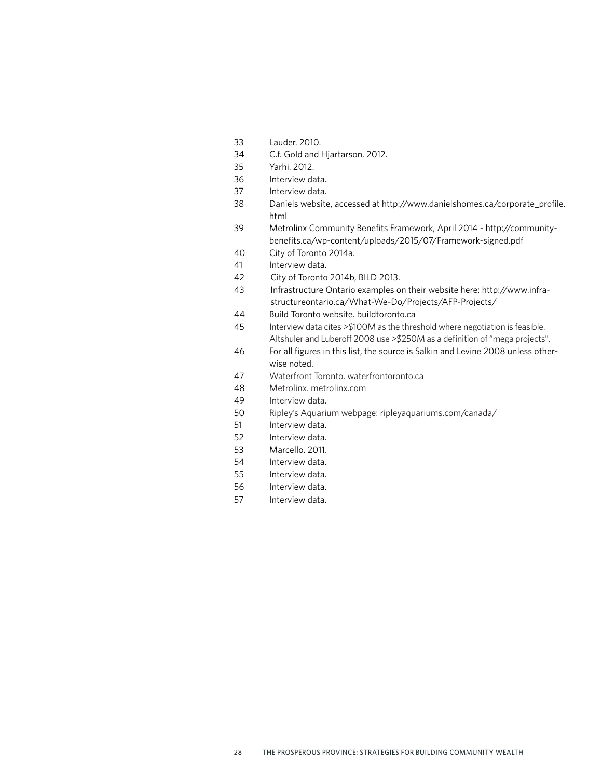- Lauder. 2010.
- C.f. Gold and Hjartarson. 2012.
- Yarhi. 2012.
- Interview data.
- Interview data.
- 38 Daniels website, accessed at [http://www.danielshomes.ca/corporate\\_profile.](http://www.danielshomes.ca/corporate_profile.html) [html](http://www.danielshomes.ca/corporate_profile.html)
- 39 Metrolinx Community Benefits Framework, April 2014 [http://community](http://communitybenefits.ca/wp-content/uploads/2015/07/Framework-signed.pdf)[benefits.ca/wp-content/uploads/2015/07/Framework-signed.pdf](http://communitybenefits.ca/wp-content/uploads/2015/07/Framework-signed.pdf)
- City of Toronto 2014a.
- Interview data.
- City of Toronto 2014b, BILD 2013.
- Infrastructure Ontario examples on their website here: [http://www.infra](http://www.infrastructureontario.ca/What-We-Do/Projects/AFP-Projects/)[structureontario.ca/What-We-Do/Projects/AFP-Projects/](http://www.infrastructureontario.ca/What-We-Do/Projects/AFP-Projects/)
- Build Toronto website. [buildtoronto.ca](http://buildtoronto.ca)
- 45 Interview data cites >\$100M as the threshold where negotiation is feasible. Altshuler and Luberoff 2008 use >\$250M as a definition of "mega projects".
- For all figures in this list, the source is Salkin and Levine 2008 unless otherwise noted.
- Waterfront Toronto. [waterfrontoronto.ca](http://waterfrontoronto.ca)
- Metrolinx. [metrolinx.com](http://metrolinx.com)
- Interview data.
- Ripley's Aquarium webpage: [ripleyaquariums.com/canada/](http://ripleyaquariums.com/canada)
- Interview data.
- Interview data.
- Marcello. 2011.
- Interview data.
- Interview data.
- Interview data.
- Interview data.